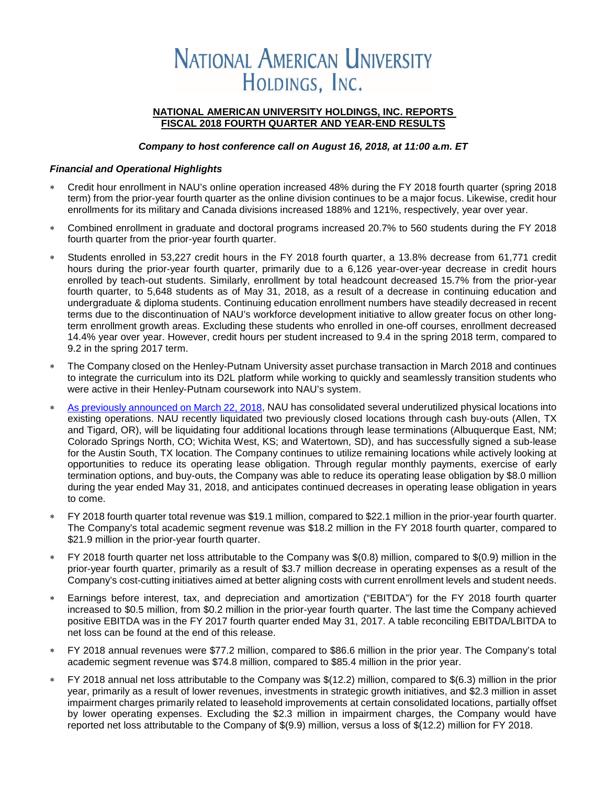# **NATIONAL AMERICAN UNIVERSITY** HOLDINGS, INC.

#### **NATIONAL AMERICAN UNIVERSITY HOLDINGS, INC. REPORTS FISCAL 2018 FOURTH QUARTER AND YEAR-END RESULTS**

#### *Company to host conference call on August 16, 2018, at 11:00 a.m. ET*

#### *Financial and Operational Highlights*

- ∗ Credit hour enrollment in NAU's online operation increased 48% during the FY 2018 fourth quarter (spring 2018 term) from the prior-year fourth quarter as the online division continues to be a major focus. Likewise, credit hour enrollments for its military and Canada divisions increased 188% and 121%, respectively, year over year.
- Combined enrollment in graduate and doctoral programs increased 20.7% to 560 students during the FY 2018 fourth quarter from the prior-year fourth quarter.
- ∗ Students enrolled in 53,227 credit hours in the FY 2018 fourth quarter, a 13.8% decrease from 61,771 credit hours during the prior-year fourth quarter, primarily due to a 6,126 year-over-year decrease in credit hours enrolled by teach-out students. Similarly, enrollment by total headcount decreased 15.7% from the prior-year fourth quarter, to 5,648 students as of May 31, 2018, as a result of a decrease in continuing education and undergraduate & diploma students. Continuing education enrollment numbers have steadily decreased in recent terms due to the discontinuation of NAU's workforce development initiative to allow greater focus on other longterm enrollment growth areas. Excluding these students who enrolled in one-off courses, enrollment decreased 14.4% year over year. However, credit hours per student increased to 9.4 in the spring 2018 term, compared to 9.2 in the spring 2017 term.
- The Company closed on the Henley-Putnam University asset purchase transaction in March 2018 and continues to integrate the curriculum into its D2L platform while working to quickly and seamlessly transition students who were active in their Henley-Putnam coursework into NAU's system.
- [As previously announced on March 22, 2018,](https://globenewswire.com/news-release/2018/03/22/1444247/0/en/National-American-University-Holdings-Inc-Announces-Closing-of-the-Henley-Putnam-University-Transaction-Provides-Update-on-Operational-Consolidations.html) NAU has consolidated several underutilized physical locations into existing operations. NAU recently liquidated two previously closed locations through cash buy-outs (Allen, TX and Tigard, OR), will be liquidating four additional locations through lease terminations (Albuquerque East, NM; Colorado Springs North, CO; Wichita West, KS; and Watertown, SD), and has successfully signed a sub-lease for the Austin South, TX location. The Company continues to utilize remaining locations while actively looking at opportunities to reduce its operating lease obligation. Through regular monthly payments, exercise of early termination options, and buy-outs, the Company was able to reduce its operating lease obligation by \$8.0 million during the year ended May 31, 2018, and anticipates continued decreases in operating lease obligation in years to come.
- FY 2018 fourth quarter total revenue was \$19.1 million, compared to \$22.1 million in the prior-year fourth quarter. The Company's total academic segment revenue was \$18.2 million in the FY 2018 fourth quarter, compared to \$21.9 million in the prior-year fourth quarter.
- FY 2018 fourth quarter net loss attributable to the Company was \$(0.8) million, compared to \$(0.9) million in the prior-year fourth quarter, primarily as a result of \$3.7 million decrease in operating expenses as a result of the Company's cost-cutting initiatives aimed at better aligning costs with current enrollment levels and student needs.
- ∗ Earnings before interest, tax, and depreciation and amortization ("EBITDA") for the FY 2018 fourth quarter increased to \$0.5 million, from \$0.2 million in the prior-year fourth quarter. The last time the Company achieved positive EBITDA was in the FY 2017 fourth quarter ended May 31, 2017. A table reconciling EBITDA/LBITDA to net loss can be found at the end of this release.
- ∗ FY 2018 annual revenues were \$77.2 million, compared to \$86.6 million in the prior year. The Company's total academic segment revenue was \$74.8 million, compared to \$85.4 million in the prior year.
- ∗ FY 2018 annual net loss attributable to the Company was \$(12.2) million, compared to \$(6.3) million in the prior year, primarily as a result of lower revenues, investments in strategic growth initiatives, and \$2.3 million in asset impairment charges primarily related to leasehold improvements at certain consolidated locations, partially offset by lower operating expenses. Excluding the \$2.3 million in impairment charges, the Company would have reported net loss attributable to the Company of \$(9.9) million, versus a loss of \$(12.2) million for FY 2018.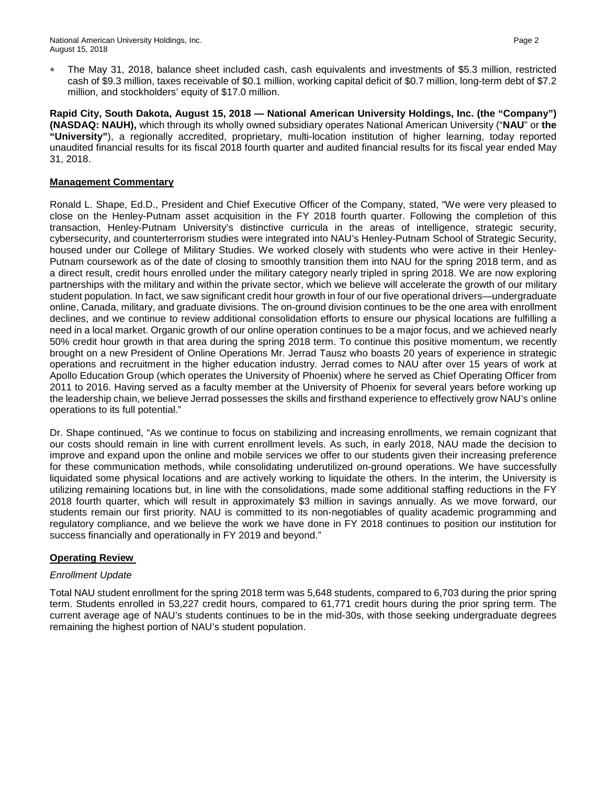∗ The May 31, 2018, balance sheet included cash, cash equivalents and investments of \$5.3 million, restricted cash of \$9.3 million, taxes receivable of \$0.1 million, working capital deficit of \$0.7 million, long-term debt of \$7.2 million, and stockholders' equity of \$17.0 million.

**Rapid City, South Dakota, August 15, 2018 — National American University Holdings, Inc. (the "Company") (NASDAQ: NAUH),** which through its wholly owned subsidiary operates National American University ("**NAU**" or **the "University"**), a regionally accredited, proprietary, multi-location institution of higher learning, today reported unaudited financial results for its fiscal 2018 fourth quarter and audited financial results for its fiscal year ended May 31, 2018.

#### **Management Commentary**

Ronald L. Shape, Ed.D., President and Chief Executive Officer of the Company, stated, "We were very pleased to close on the Henley-Putnam asset acquisition in the FY 2018 fourth quarter. Following the completion of this transaction, Henley-Putnam University's distinctive curricula in the areas of intelligence, strategic security, cybersecurity, and counterterrorism studies were integrated into NAU's Henley-Putnam School of Strategic Security, housed under our College of Military Studies. We worked closely with students who were active in their Henley-Putnam coursework as of the date of closing to smoothly transition them into NAU for the spring 2018 term, and as a direct result, credit hours enrolled under the military category nearly tripled in spring 2018. We are now exploring partnerships with the military and within the private sector, which we believe will accelerate the growth of our military student population. In fact, we saw significant credit hour growth in four of our five operational drivers—undergraduate online, Canada, military, and graduate divisions. The on-ground division continues to be the one area with enrollment declines, and we continue to review additional consolidation efforts to ensure our physical locations are fulfilling a need in a local market. Organic growth of our online operation continues to be a major focus, and we achieved nearly 50% credit hour growth in that area during the spring 2018 term. To continue this positive momentum, we recently brought on a new President of Online Operations Mr. Jerrad Tausz who boasts 20 years of experience in strategic operations and recruitment in the higher education industry. Jerrad comes to NAU after over 15 years of work at Apollo Education Group (which operates the University of Phoenix) where he served as Chief Operating Officer from 2011 to 2016. Having served as a faculty member at the University of Phoenix for several years before working up the leadership chain, we believe Jerrad possesses the skills and firsthand experience to effectively grow NAU's online operations to its full potential."

Dr. Shape continued, "As we continue to focus on stabilizing and increasing enrollments, we remain cognizant that our costs should remain in line with current enrollment levels. As such, in early 2018, NAU made the decision to improve and expand upon the online and mobile services we offer to our students given their increasing preference for these communication methods, while consolidating underutilized on-ground operations. We have successfully liquidated some physical locations and are actively working to liquidate the others. In the interim, the University is utilizing remaining locations but, in line with the consolidations, made some additional staffing reductions in the FY 2018 fourth quarter, which will result in approximately \$3 million in savings annually. As we move forward, our students remain our first priority. NAU is committed to its non-negotiables of quality academic programming and regulatory compliance, and we believe the work we have done in FY 2018 continues to position our institution for success financially and operationally in FY 2019 and beyond."

# **Operating Review**

# *Enrollment Update*

Total NAU student enrollment for the spring 2018 term was 5,648 students, compared to 6,703 during the prior spring term. Students enrolled in 53,227 credit hours, compared to 61,771 credit hours during the prior spring term. The current average age of NAU's students continues to be in the mid-30s, with those seeking undergraduate degrees remaining the highest portion of NAU's student population.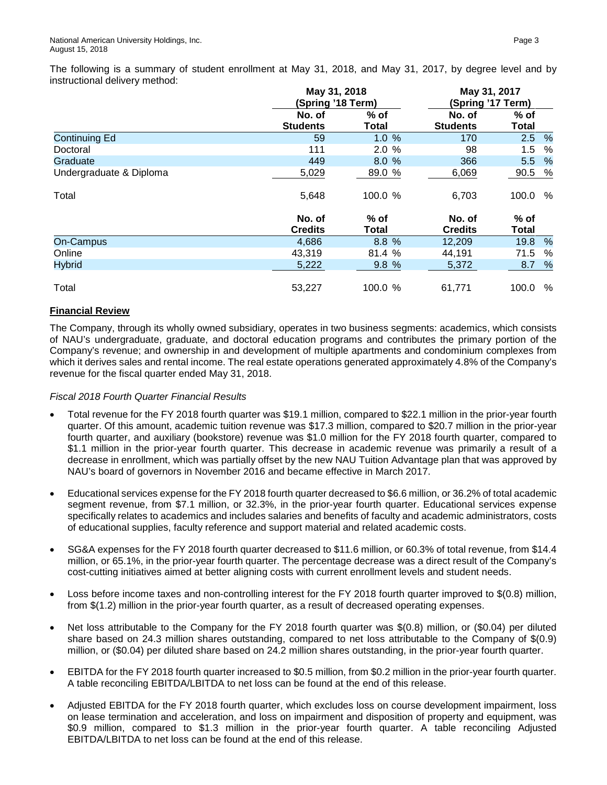The following is a summary of student enrollment at May 31, 2018, and May 31, 2017, by degree level and by instructional delivery method:

|                         |                           | May 31, 2018<br>(Spring '18 Term) |                           |                        | May 31, 2017<br>(Spring '17 Term) |  |  |  |  |
|-------------------------|---------------------------|-----------------------------------|---------------------------|------------------------|-----------------------------------|--|--|--|--|
|                         | No. of<br><b>Students</b> | $%$ of<br><b>Total</b>            | No. of<br><b>Students</b> | $%$ of<br><b>Total</b> |                                   |  |  |  |  |
| <b>Continuing Ed</b>    | 59                        | 1.0%                              | 170                       | 2.5                    | $\%$                              |  |  |  |  |
| Doctoral                | 111                       | 2.0%                              | 98                        | 1.5                    | %                                 |  |  |  |  |
| Graduate                | 449                       | 8.0%                              | 366                       | 5.5                    | $\frac{9}{6}$                     |  |  |  |  |
| Undergraduate & Diploma | 5,029                     | 89.0 %                            | 6,069                     | 90.5                   | %                                 |  |  |  |  |
| Total                   | 5,648                     | 100.0 %                           | 6,703                     | 100.0                  | %                                 |  |  |  |  |
|                         | No. of<br><b>Credits</b>  | $%$ of<br>Total                   | No. of<br><b>Credits</b>  | $%$ of<br>Total        |                                   |  |  |  |  |
| <b>On-Campus</b>        | 4,686                     | 8.8 %                             | 12,209                    | 19.8                   | %                                 |  |  |  |  |
| Online                  | 43,319                    | 81.4 %                            | 44,191                    | 71.5                   | $\%$                              |  |  |  |  |
| <b>Hybrid</b>           | 5,222                     | 9.8%                              | 5,372                     | 8.7                    | %                                 |  |  |  |  |
| Total                   | 53,227                    | 100.0 %                           | 61.771                    | 100.0                  | %                                 |  |  |  |  |

# **Financial Review**

The Company, through its wholly owned subsidiary, operates in two business segments: academics, which consists of NAU's undergraduate, graduate, and doctoral education programs and contributes the primary portion of the Company's revenue; and ownership in and development of multiple apartments and condominium complexes from which it derives sales and rental income. The real estate operations generated approximately 4.8% of the Company's revenue for the fiscal quarter ended May 31, 2018.

#### *Fiscal 2018 Fourth Quarter Financial Results*

- Total revenue for the FY 2018 fourth quarter was \$19.1 million, compared to \$22.1 million in the prior-year fourth quarter. Of this amount, academic tuition revenue was \$17.3 million, compared to \$20.7 million in the prior-year fourth quarter, and auxiliary (bookstore) revenue was \$1.0 million for the FY 2018 fourth quarter, compared to \$1.1 million in the prior-year fourth quarter. This decrease in academic revenue was primarily a result of a decrease in enrollment, which was partially offset by the new NAU Tuition Advantage plan that was approved by NAU's board of governors in November 2016 and became effective in March 2017.
- Educational services expense for the FY 2018 fourth quarter decreased to \$6.6 million, or 36.2% of total academic segment revenue, from \$7.1 million, or 32.3%, in the prior-year fourth quarter. Educational services expense specifically relates to academics and includes salaries and benefits of faculty and academic administrators, costs of educational supplies, faculty reference and support material and related academic costs.
- SG&A expenses for the FY 2018 fourth quarter decreased to \$11.6 million, or 60.3% of total revenue, from \$14.4 million, or 65.1%, in the prior-year fourth quarter. The percentage decrease was a direct result of the Company's cost-cutting initiatives aimed at better aligning costs with current enrollment levels and student needs.
- Loss before income taxes and non-controlling interest for the FY 2018 fourth quarter improved to \$(0.8) million, from \$(1.2) million in the prior-year fourth quarter, as a result of decreased operating expenses.
- Net loss attributable to the Company for the FY 2018 fourth quarter was \$(0.8) million, or (\$0.04) per diluted share based on 24.3 million shares outstanding, compared to net loss attributable to the Company of \$(0.9) million, or (\$0.04) per diluted share based on 24.2 million shares outstanding, in the prior-year fourth quarter.
- EBITDA for the FY 2018 fourth quarter increased to \$0.5 million, from \$0.2 million in the prior-year fourth quarter. A table reconciling EBITDA/LBITDA to net loss can be found at the end of this release.
- Adjusted EBITDA for the FY 2018 fourth quarter, which excludes loss on course development impairment, loss on lease termination and acceleration, and loss on impairment and disposition of property and equipment, was \$0.9 million, compared to \$1.3 million in the prior-year fourth quarter. A table reconciling Adjusted EBITDA/LBITDA to net loss can be found at the end of this release.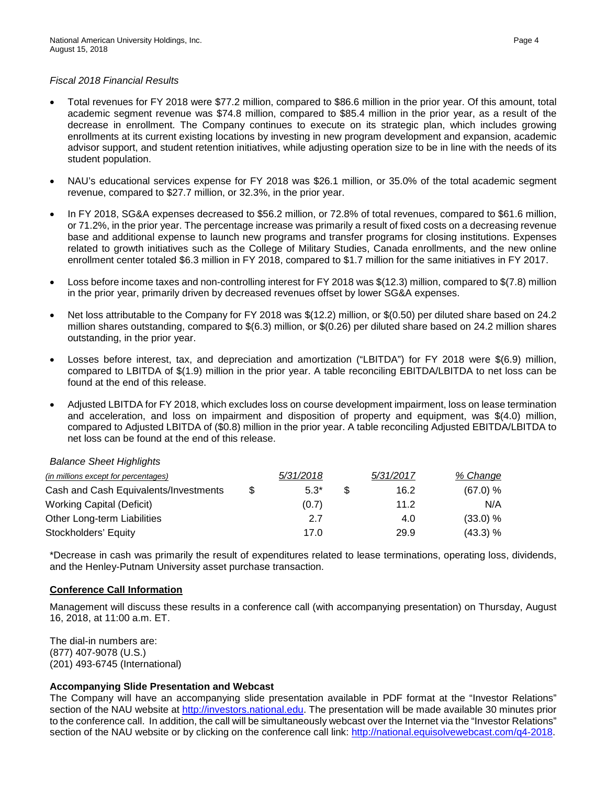#### *Fiscal 2018 Financial Results*

- Total revenues for FY 2018 were \$77.2 million, compared to \$86.6 million in the prior year. Of this amount, total academic segment revenue was \$74.8 million, compared to \$85.4 million in the prior year, as a result of the decrease in enrollment. The Company continues to execute on its strategic plan, which includes growing enrollments at its current existing locations by investing in new program development and expansion, academic advisor support, and student retention initiatives, while adjusting operation size to be in line with the needs of its student population.
- NAU's educational services expense for FY 2018 was \$26.1 million, or 35.0% of the total academic segment revenue, compared to \$27.7 million, or 32.3%, in the prior year.
- In FY 2018, SG&A expenses decreased to \$56.2 million, or 72.8% of total revenues, compared to \$61.6 million, or 71.2%, in the prior year. The percentage increase was primarily a result of fixed costs on a decreasing revenue base and additional expense to launch new programs and transfer programs for closing institutions. Expenses related to growth initiatives such as the College of Military Studies, Canada enrollments, and the new online enrollment center totaled \$6.3 million in FY 2018, compared to \$1.7 million for the same initiatives in FY 2017.
- Loss before income taxes and non-controlling interest for FY 2018 was \$(12.3) million, compared to \$(7.8) million in the prior year, primarily driven by decreased revenues offset by lower SG&A expenses.
- Net loss attributable to the Company for FY 2018 was \$(12.2) million, or \$(0.50) per diluted share based on 24.2 million shares outstanding, compared to \$(6.3) million, or \$(0.26) per diluted share based on 24.2 million shares outstanding, in the prior year.
- Losses before interest, tax, and depreciation and amortization ("LBITDA") for FY 2018 were \$(6.9) million, compared to LBITDA of \$(1.9) million in the prior year. A table reconciling EBITDA/LBITDA to net loss can be found at the end of this release.
- Adjusted LBITDA for FY 2018, which excludes loss on course development impairment, loss on lease termination and acceleration, and loss on impairment and disposition of property and equipment, was \$(4.0) million, compared to Adjusted LBITDA of (\$0.8) million in the prior year. A table reconciling Adjusted EBITDA/LBITDA to net loss can be found at the end of this release.

#### *Balance Sheet Highlights*

| (in millions except for percentages)  |     | 5/31/2018 | 5/31/2017 | % Change |
|---------------------------------------|-----|-----------|-----------|----------|
| Cash and Cash Equivalents/Investments | -SS | $5.3*$    | 16.2      | (67.0) % |
| Working Capital (Deficit)             |     | (0.7)     | 11.2      | N/A      |
| Other Long-term Liabilities           |     | 2.7       | 4.0       | (33.0) % |
| Stockholders' Equity                  |     | 17.0      | 29.9      | (43.3) % |

\*Decrease in cash was primarily the result of expenditures related to lease terminations, operating loss, dividends, and the Henley-Putnam University asset purchase transaction.

#### **Conference Call Information**

Management will discuss these results in a conference call (with accompanying presentation) on Thursday, August 16, 2018, at 11:00 a.m. ET.

The dial-in numbers are: (877) 407-9078 (U.S.) (201) 493-6745 (International)

#### **Accompanying Slide Presentation and Webcast**

The Company will have an accompanying slide presentation available in PDF format at the "Investor Relations" section of the NAU website at [http://investors.national.edu.](http://investors.national.edu/) The presentation will be made available 30 minutes prior to the conference call. In addition, the call will be simultaneously webcast over the Internet via the "Investor Relations" section of the NAU website or by clicking on the conference call link: [http://national.equisolvewebcast.com/q4-2018.](http://national.equisolvewebcast.com/q4-2018)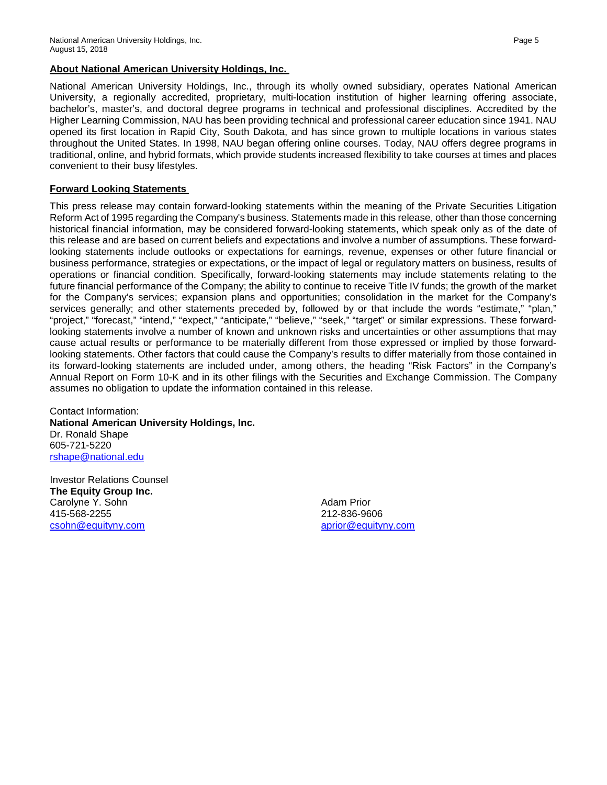# **About National American University Holdings, Inc.**

National American University Holdings, Inc., through its wholly owned subsidiary, operates National American University, a regionally accredited, proprietary, multi-location institution of higher learning offering associate, bachelor's, master's, and doctoral degree programs in technical and professional disciplines. Accredited by the Higher Learning Commission, NAU has been providing technical and professional career education since 1941. NAU opened its first location in Rapid City, South Dakota, and has since grown to multiple locations in various states throughout the United States. In 1998, NAU began offering online courses. Today, NAU offers degree programs in traditional, online, and hybrid formats, which provide students increased flexibility to take courses at times and places convenient to their busy lifestyles.

# **Forward Looking Statements**

This press release may contain forward-looking statements within the meaning of the Private Securities Litigation Reform Act of 1995 regarding the Company's business. Statements made in this release, other than those concerning historical financial information, may be considered forward-looking statements, which speak only as of the date of this release and are based on current beliefs and expectations and involve a number of assumptions. These forwardlooking statements include outlooks or expectations for earnings, revenue, expenses or other future financial or business performance, strategies or expectations, or the impact of legal or regulatory matters on business, results of operations or financial condition. Specifically, forward-looking statements may include statements relating to the future financial performance of the Company; the ability to continue to receive Title IV funds; the growth of the market for the Company's services; expansion plans and opportunities; consolidation in the market for the Company's services generally; and other statements preceded by, followed by or that include the words "estimate," "plan," "project," "forecast," "intend," "expect," "anticipate," "believe," "seek," "target" or similar expressions. These forwardlooking statements involve a number of known and unknown risks and uncertainties or other assumptions that may cause actual results or performance to be materially different from those expressed or implied by those forwardlooking statements. Other factors that could cause the Company's results to differ materially from those contained in its forward-looking statements are included under, among others, the heading "Risk Factors" in the Company's Annual Report on Form 10-K and in its other filings with the Securities and Exchange Commission. The Company assumes no obligation to update the information contained in this release.

Contact Information: **National American University Holdings, Inc.** Dr. Ronald Shape 605-721-5220 [rshape@national.edu](mailto:rshape@national.edu)

Investor Relations Counsel **The Equity Group Inc.** Carolyne Y. Sohn 415-568-2255 [csohn@equityny.com](mailto:csohn@equityny.com)

Adam Prior 212-836-9606 [aprior@equityny.com](mailto:aprior@equityny.com)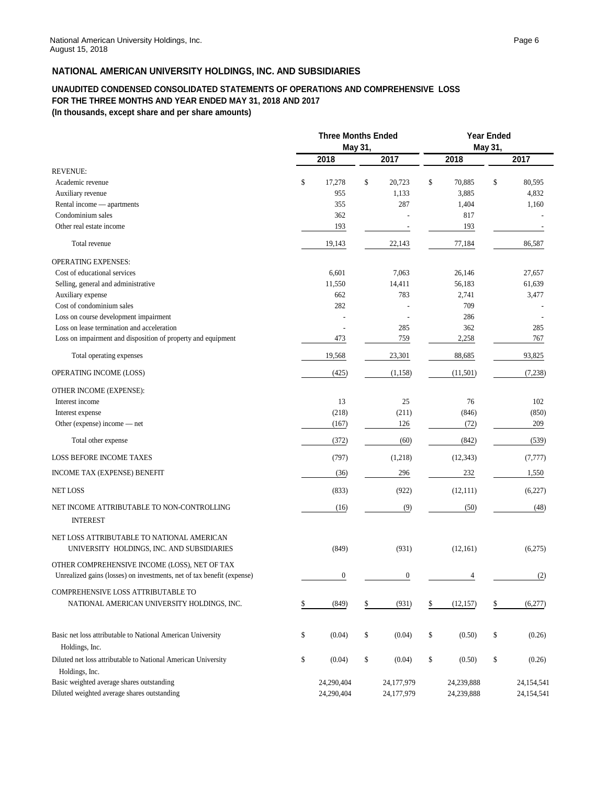#### **UNAUDITED CONDENSED CONSOLIDATED STATEMENTS OF OPERATIONS AND COMPREHENSIVE LOSS FOR THE THREE MONTHS AND YEAR ENDED MAY 31, 2018 AND 2017 (In thousands, except share and per share amounts)**

|                                                                                                                         | <b>Three Months Ended</b> |                  |    | <b>Year Ended</b> |         |            |    |            |
|-------------------------------------------------------------------------------------------------------------------------|---------------------------|------------------|----|-------------------|---------|------------|----|------------|
|                                                                                                                         | May 31,                   |                  |    |                   | May 31, |            |    |            |
|                                                                                                                         |                           | 2018             |    | 2017              |         | 2018       |    | 2017       |
| <b>REVENUE:</b>                                                                                                         |                           |                  |    |                   |         |            |    |            |
| Academic revenue                                                                                                        | \$                        | 17,278           | \$ | 20,723            | \$      | 70,885     | \$ | 80,595     |
| Auxiliary revenue                                                                                                       |                           | 955              |    | 1,133             |         | 3,885      |    | 4,832      |
| Rental income — apartments                                                                                              |                           | 355              |    | 287               |         | 1,404      |    | 1,160      |
| Condominium sales                                                                                                       |                           | 362              |    |                   |         | 817        |    |            |
| Other real estate income                                                                                                |                           | 193              |    |                   |         | 193        |    |            |
| Total revenue                                                                                                           |                           | 19,143           |    | 22,143            |         | 77,184     |    | 86,587     |
| <b>OPERATING EXPENSES:</b>                                                                                              |                           |                  |    |                   |         |            |    |            |
| Cost of educational services                                                                                            |                           | 6,601            |    | 7,063             |         | 26,146     |    | 27,657     |
| Selling, general and administrative                                                                                     |                           | 11,550           |    | 14,411            |         | 56,183     |    | 61,639     |
| Auxiliary expense                                                                                                       |                           | 662              |    | 783               |         | 2,741      |    | 3,477      |
| Cost of condominium sales                                                                                               |                           | 282              |    |                   |         | 709        |    |            |
| Loss on course development impairment                                                                                   |                           |                  |    |                   |         | 286        |    |            |
| Loss on lease termination and acceleration                                                                              |                           |                  |    | 285               |         | 362        |    | 285        |
| Loss on impairment and disposition of property and equipment                                                            |                           | 473              |    | 759               |         | 2,258      |    | 767        |
| Total operating expenses                                                                                                |                           | 19,568           |    | 23,301            |         | 88,685     |    | 93,825     |
| OPERATING INCOME (LOSS)                                                                                                 |                           | (425)            |    | (1, 158)          |         | (11,501)   |    | (7,238)    |
| OTHER INCOME (EXPENSE):                                                                                                 |                           |                  |    |                   |         |            |    |            |
| Interest income                                                                                                         |                           | 13               |    | 25                |         | 76         |    | 102        |
| Interest expense                                                                                                        |                           | (218)            |    | (211)             |         | (846)      |    | (850)      |
| Other (expense) income - net                                                                                            |                           | (167)            |    | 126               |         | (72)       |    | 209        |
| Total other expense                                                                                                     |                           | (372)            |    | (60)              |         | (842)      |    | (539)      |
| <b>LOSS BEFORE INCOME TAXES</b>                                                                                         |                           | (797)            |    | (1,218)           |         | (12, 343)  |    | (7, 777)   |
| INCOME TAX (EXPENSE) BENEFIT                                                                                            |                           | (36)             |    | 296               |         | 232        |    | 1,550      |
| <b>NET LOSS</b>                                                                                                         |                           | (833)            |    | (922)             |         | (12,111)   |    | (6,227)    |
| NET INCOME ATTRIBUTABLE TO NON-CONTROLLING<br><b>INTEREST</b>                                                           |                           | (16)             |    | (9)               |         | (50)       |    | (48)       |
| NET LOSS ATTRIBUTABLE TO NATIONAL AMERICAN<br>UNIVERSITY HOLDINGS, INC. AND SUBSIDIARIES                                |                           | (849)            |    | (931)             |         | (12,161)   |    | (6,275)    |
| OTHER COMPREHENSIVE INCOME (LOSS), NET OF TAX<br>Unrealized gains (losses) on investments, net of tax benefit (expense) |                           | $\boldsymbol{0}$ |    | $\boldsymbol{0}$  |         |            |    | (2)        |
| COMPREHENSIVE LOSS ATTRIBUTABLE TO                                                                                      |                           |                  |    |                   |         |            |    |            |
| NATIONAL AMERICAN UNIVERSITY HOLDINGS, INC.                                                                             | \$                        | (849)            | \$ | (931)             | \$      | (12, 157)  | \$ | (6,277)    |
| Basic net loss attributable to National American University<br>Holdings, Inc.                                           | \$                        | (0.04)           | \$ | (0.04)            | \$      | (0.50)     | \$ | (0.26)     |
| Diluted net loss attributable to National American University<br>Holdings, Inc.                                         | \$                        | (0.04)           | \$ | (0.04)            | \$      | (0.50)     | \$ | (0.26)     |
| Basic weighted average shares outstanding                                                                               |                           | 24,290,404       |    | 24,177,979        |         | 24,239,888 |    | 24,154,541 |
| Diluted weighted average shares outstanding                                                                             |                           | 24,290,404       |    | 24,177,979        |         | 24,239,888 |    | 24,154,541 |
|                                                                                                                         |                           |                  |    |                   |         |            |    |            |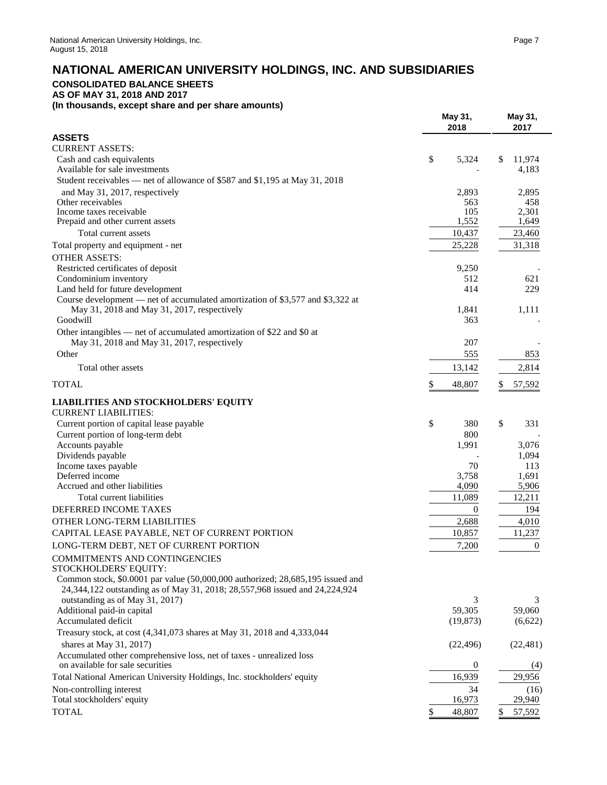# **NATIONAL AMERICAN UNIVERSITY HOLDINGS, INC. AND SUBSIDIARIES**

# **CONSOLIDATED BALANCE SHEETS**

**AS OF MAY 31, 2018 AND 2017**

**(In thousands, except share and per share amounts)**

|                                                                                                                                                               | May 31,<br>2018 | May 31,<br>2017       |  |
|---------------------------------------------------------------------------------------------------------------------------------------------------------------|-----------------|-----------------------|--|
| <b>ASSETS</b>                                                                                                                                                 |                 |                       |  |
| <b>CURRENT ASSETS:</b>                                                                                                                                        |                 |                       |  |
| Cash and cash equivalents<br>Available for sale investments                                                                                                   | \$<br>5,324     | 11,974<br>\$<br>4,183 |  |
| Student receivables - net of allowance of \$587 and \$1,195 at May 31, 2018                                                                                   |                 |                       |  |
|                                                                                                                                                               | 2,893           |                       |  |
| and May 31, 2017, respectively<br>Other receivables                                                                                                           | 563             | 2,895<br>458          |  |
| Income taxes receivable                                                                                                                                       | 105             | 2,301                 |  |
| Prepaid and other current assets                                                                                                                              | 1,552           | 1,649                 |  |
| Total current assets                                                                                                                                          | 10,437          | 23,460                |  |
| Total property and equipment - net                                                                                                                            | 25,228          | 31,318                |  |
| <b>OTHER ASSETS:</b>                                                                                                                                          |                 |                       |  |
| Restricted certificates of deposit                                                                                                                            | 9,250           |                       |  |
| Condominium inventory                                                                                                                                         | 512             | 621                   |  |
| Land held for future development                                                                                                                              | 414             | 229                   |  |
| Course development — net of accumulated amortization of \$3,577 and \$3,322 at                                                                                |                 |                       |  |
| May 31, 2018 and May 31, 2017, respectively                                                                                                                   | 1,841           | 1,111                 |  |
| Goodwill                                                                                                                                                      | 363             |                       |  |
| Other intangibles — net of accumulated amortization of \$22 and \$0 at                                                                                        |                 |                       |  |
| May 31, 2018 and May 31, 2017, respectively                                                                                                                   | 207             |                       |  |
| Other                                                                                                                                                         | 555             | 853                   |  |
| Total other assets                                                                                                                                            | 13,142          | 2,814                 |  |
| <b>TOTAL</b>                                                                                                                                                  | \$<br>48,807    | \$<br>57,592          |  |
| <b>LIABILITIES AND STOCKHOLDERS' EQUITY</b><br><b>CURRENT LIABILITIES:</b>                                                                                    |                 |                       |  |
| Current portion of capital lease payable                                                                                                                      | \$<br>380       | \$<br>331             |  |
| Current portion of long-term debt                                                                                                                             | 800             |                       |  |
| Accounts payable                                                                                                                                              | 1,991           | 3,076                 |  |
| Dividends payable                                                                                                                                             |                 | 1,094                 |  |
| Income taxes payable                                                                                                                                          | 70              | 113                   |  |
| Deferred income                                                                                                                                               | 3,758           | 1,691                 |  |
| Accrued and other liabilities                                                                                                                                 | 4,090           | 5,906                 |  |
| Total current liabilities                                                                                                                                     | 11,089          | 12,211                |  |
| DEFERRED INCOME TAXES                                                                                                                                         | $\overline{0}$  | 194                   |  |
| OTHER LONG-TERM LIABILITIES                                                                                                                                   | 2,688           | 4,010                 |  |
| CAPITAL LEASE PAYABLE, NET OF CURRENT PORTION                                                                                                                 | 10,857          | 11,237                |  |
| LONG-TERM DEBT, NET OF CURRENT PORTION                                                                                                                        | 7,200           | $\boldsymbol{0}$      |  |
| COMMITMENTS AND CONTINGENCIES                                                                                                                                 |                 |                       |  |
| STOCKHOLDERS' EQUITY:                                                                                                                                         |                 |                       |  |
| Common stock, \$0.0001 par value (50,000,000 authorized; 28,685,195 issued and<br>24,344,122 outstanding as of May 31, 2018; 28,557,968 issued and 24,224,924 |                 |                       |  |
| outstanding as of May 31, 2017)                                                                                                                               | 3               | 3                     |  |
| Additional paid-in capital                                                                                                                                    | 59,305          | 59,060                |  |
| Accumulated deficit                                                                                                                                           | (19, 873)       | (6,622)               |  |
| Treasury stock, at cost (4,341,073 shares at May 31, 2018 and 4,333,044                                                                                       |                 |                       |  |
| shares at May 31, 2017)                                                                                                                                       | (22, 496)       | (22, 481)             |  |
| Accumulated other comprehensive loss, net of taxes - unrealized loss                                                                                          |                 |                       |  |
| on available for sale securities                                                                                                                              | 0               | (4)                   |  |
| Total National American University Holdings, Inc. stockholders' equity                                                                                        | 16,939          | 29,956                |  |
| Non-controlling interest                                                                                                                                      | 34              | (16)<br>29,940        |  |
| Total stockholders' equity                                                                                                                                    | 16,973          |                       |  |
| <b>TOTAL</b>                                                                                                                                                  | \$<br>48,807    | \$<br>57,592          |  |